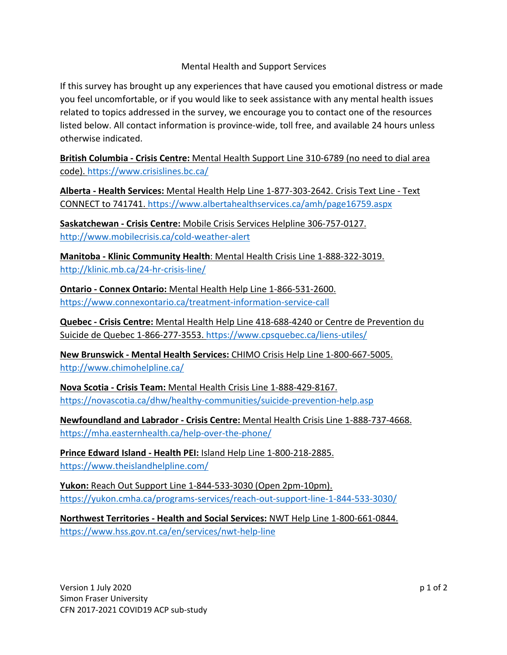## Mental Health and Support Services

If this survey has brought up any experiences that have caused you emotional distress or made you feel uncomfortable, or if you would like to seek assistance with any mental health issues related to topics addressed in the survey, we encourage you to contact one of the resources listed below. All contact information is province-wide, toll free, and available 24 hours unless otherwise indicated.

**British Columbia - Crisis Centre:** Mental Health Support Line 310-6789 (no need to dial area code). https://www.crisislines.bc.ca/

**Alberta - Health Services:** Mental Health Help Line 1-877-303-2642. Crisis Text Line - Text CONNECT to 741741. https://www.albertahealthservices.ca/amh/page16759.aspx

**Saskatchewan - Crisis Centre:** Mobile Crisis Services Helpline 306-757-0127. http://www.mobilecrisis.ca/cold-weather-alert

**Manitoba - Klinic Community Health**: Mental Health Crisis Line 1-888-322-3019. http://klinic.mb.ca/24-hr-crisis-line/

**Ontario - Connex Ontario:** Mental Health Help Line 1-866-531-2600. https://www.connexontario.ca/treatment-information-service-call

**Quebec - Crisis Centre:** Mental Health Help Line 418-688-4240 or Centre de Prevention du Suicide de Quebec 1-866-277-3553. https://www.cpsquebec.ca/liens-utiles/

**New Brunswick - Mental Health Services:** CHIMO Crisis Help Line 1-800-667-5005. http://www.chimohelpline.ca/

**Nova Scotia - Crisis Team:** Mental Health Crisis Line 1-888-429-8167. https://novascotia.ca/dhw/healthy-communities/suicide-prevention-help.asp

**Newfoundland and Labrador - Crisis Centre:** Mental Health Crisis Line 1-888-737-4668. https://mha.easternhealth.ca/help-over-the-phone/

**Prince Edward Island - Health PEI:** Island Help Line 1-800-218-2885. https://www.theislandhelpline.com/

**Yukon:** Reach Out Support Line 1-844-533-3030 (Open 2pm-10pm). https://yukon.cmha.ca/programs-services/reach-out-support-line-1-844-533-3030/

**Northwest Territories - Health and Social Services:** NWT Help Line 1-800-661-0844. https://www.hss.gov.nt.ca/en/services/nwt-help-line